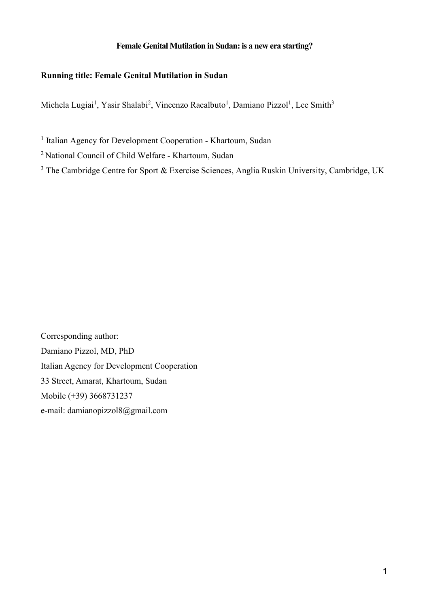## **Female Genital Mutilation in Sudan:is a new era starting?**

# **Running title: Female Genital Mutilation in Sudan**

Michela Lugiai<sup>1</sup>, Yasir Shalabi<sup>2</sup>, Vincenzo Racalbuto<sup>1</sup>, Damiano Pizzol<sup>1</sup>, Lee Smith<sup>3</sup>

<sup>1</sup> Italian Agency for Development Cooperation - Khartoum, Sudan

<sup>2</sup> National Council of Child Welfare - Khartoum, Sudan

<sup>3</sup> The Cambridge Centre for Sport & Exercise Sciences, Anglia Ruskin University, Cambridge, UK

Corresponding author: Damiano Pizzol, MD, PhD Italian Agency for Development Cooperation 33 Street, Amarat, Khartoum, Sudan Mobile (+39) 3668731237 e-mail: damianopizzol8@gmail.com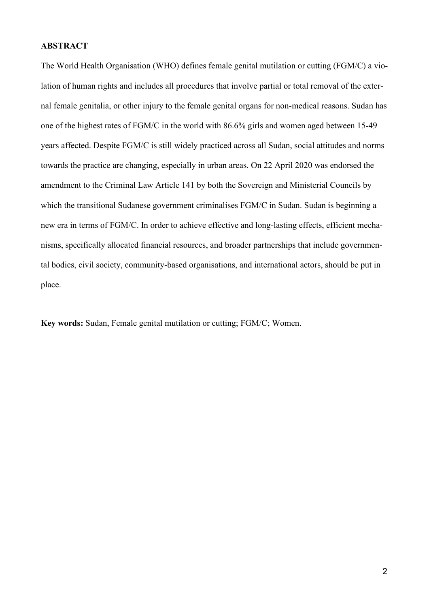### **ABSTRACT**

The World Health Organisation (WHO) defines female genital mutilation or cutting (FGM/C) a violation of human rights and includes all procedures that involve partial or total removal of the external female genitalia, or other injury to the female genital organs for non-medical reasons. Sudan has one of the highest rates of FGM/C in the world with 86.6% girls and women aged between 15-49 years affected. Despite FGM/C is still widely practiced across all Sudan, social attitudes and norms towards the practice are changing, especially in urban areas. On 22 April 2020 was endorsed the amendment to the Criminal Law Article 141 by both the Sovereign and Ministerial Councils by which the transitional Sudanese government criminalises FGM/C in Sudan. Sudan is beginning a new era in terms of FGM/C. In order to achieve effective and long-lasting effects, efficient mechanisms, specifically allocated financial resources, and broader partnerships that include governmental bodies, civil society, community-based organisations, and international actors, should be put in place.

**Key words:** Sudan, Female genital mutilation or cutting; FGM/C; Women.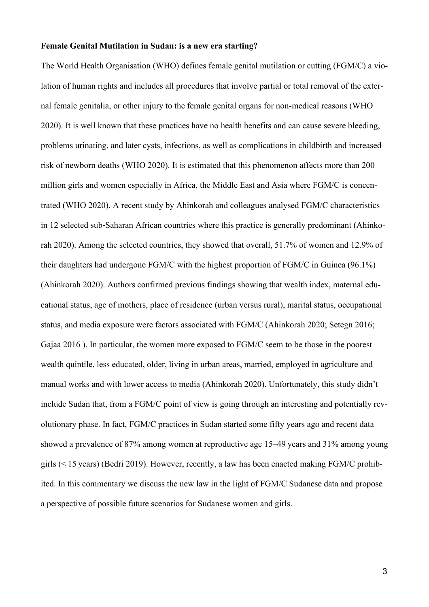#### **Female Genital Mutilation in Sudan: is a new era starting?**

The World Health Organisation (WHO) defines female genital mutilation or cutting (FGM/C) a violation of human rights and includes all procedures that involve partial or total removal of the external female genitalia, or other injury to the female genital organs for non-medical reasons (WHO 2020). It is well known that these practices have no health benefits and can cause severe bleeding, problems urinating, and later cysts, infections, as well as complications in childbirth and increased risk of newborn deaths (WHO 2020). It is estimated that this phenomenon affects more than 200 million girls and women especially in Africa, the Middle East and Asia where FGM/C is concentrated (WHO 2020). A recent study by Ahinkorah and colleagues analysed FGM/C characteristics in 12 selected sub-Saharan African countries where this practice is generally predominant (Ahinkorah 2020). Among the selected countries, they showed that overall, 51.7% of women and 12.9% of their daughters had undergone FGM/C with the highest proportion of FGM/C in Guinea (96.1%) (Ahinkorah 2020). Authors confirmed previous findings showing that wealth index, maternal educational status, age of mothers, place of residence (urban versus rural), marital status, occupational status, and media exposure were factors associated with FGM/C (Ahinkorah 2020; Setegn 2016; Gajaa 2016 ). In particular, the women more exposed to FGM/C seem to be those in the poorest wealth quintile, less educated, older, living in urban areas, married, employed in agriculture and manual works and with lower access to media (Ahinkorah 2020). Unfortunately, this study didn't include Sudan that, from a FGM/C point of view is going through an interesting and potentially revolutionary phase. In fact, FGM/C practices in Sudan started some fifty years ago and recent data showed a prevalence of 87% among women at reproductive age 15–49 years and 31% among young girls (< 15 years) (Bedri 2019). However, recently, a law has been enacted making FGM/C prohibited. In this commentary we discuss the new law in the light of FGM/C Sudanese data and propose a perspective of possible future scenarios for Sudanese women and girls.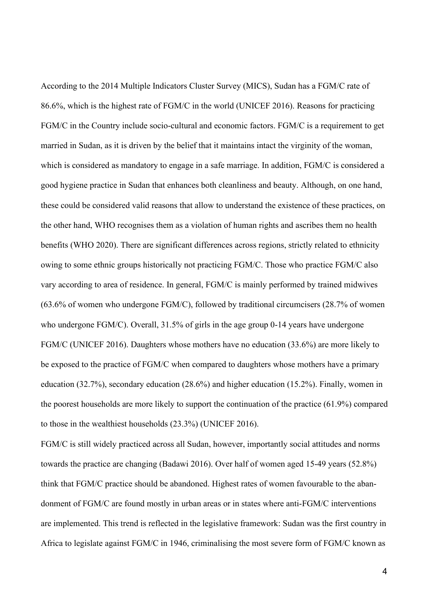According to the 2014 Multiple Indicators Cluster Survey (MICS), Sudan has a FGM/C rate of 86.6%, which is the highest rate of FGM/C in the world (UNICEF 2016). Reasons for practicing FGM/C in the Country include socio-cultural and economic factors. FGM/C is a requirement to get married in Sudan, as it is driven by the belief that it maintains intact the virginity of the woman, which is considered as mandatory to engage in a safe marriage. In addition, FGM/C is considered a good hygiene practice in Sudan that enhances both cleanliness and beauty. Although, on one hand, these could be considered valid reasons that allow to understand the existence of these practices, on the other hand, WHO recognises them as a violation of human rights and ascribes them no health benefits (WHO 2020). There are significant differences across regions, strictly related to ethnicity owing to some ethnic groups historically not practicing FGM/C. Those who practice FGM/C also vary according to area of residence. In general, FGM/C is mainly performed by trained midwives (63.6% of women who undergone FGM/C), followed by traditional circumcisers (28.7% of women who undergone FGM/C). Overall, 31.5% of girls in the age group 0-14 years have undergone FGM/C (UNICEF 2016). Daughters whose mothers have no education (33.6%) are more likely to be exposed to the practice of FGM/C when compared to daughters whose mothers have a primary education (32.7%), secondary education (28.6%) and higher education (15.2%). Finally, women in the poorest households are more likely to support the continuation of the practice (61.9%) compared to those in the wealthiest households (23.3%) (UNICEF 2016).

FGM/C is still widely practiced across all Sudan, however, importantly social attitudes and norms towards the practice are changing (Badawi 2016). Over half of women aged 15-49 years (52.8%) think that FGM/C practice should be abandoned. Highest rates of women favourable to the abandonment of FGM/C are found mostly in urban areas or in states where anti-FGM/C interventions are implemented. This trend is reflected in the legislative framework: Sudan was the first country in Africa to legislate against FGM/C in 1946, criminalising the most severe form of FGM/C known as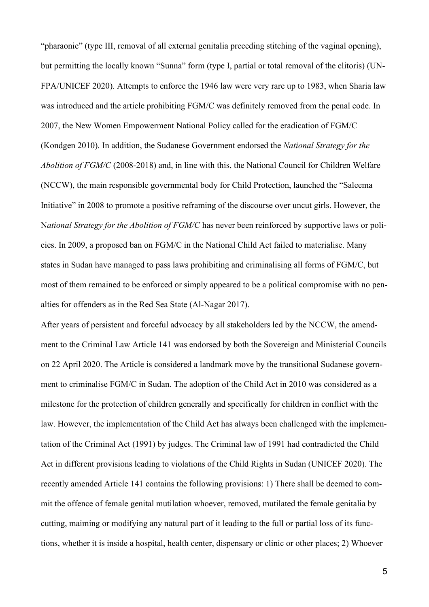"pharaonic" (type III, removal of all external genitalia preceding stitching of the vaginal opening), but permitting the locally known "Sunna" form (type I, partial or total removal of the clitoris) (UN-FPA/UNICEF 2020). Attempts to enforce the 1946 law were very rare up to 1983, when Sharia law was introduced and the article prohibiting FGM/C was definitely removed from the penal code. In 2007, the New Women Empowerment National Policy called for the eradication of FGM/C (Kondgen 2010). In addition, the Sudanese Government endorsed the *National Strategy for the Abolition of FGM/C* (2008-2018) and, in line with this, the National Council for Children Welfare (NCCW), the main responsible governmental body for Child Protection, launched the "Saleema Initiative" in 2008 to promote a positive reframing of the discourse over uncut girls. However, the N*ational Strategy for the Abolition of FGM/C* has never been reinforced by supportive laws or policies. In 2009, a proposed ban on FGM/C in the National Child Act failed to materialise. Many states in Sudan have managed to pass laws prohibiting and criminalising all forms of FGM/C, but most of them remained to be enforced or simply appeared to be a political compromise with no penalties for offenders as in the Red Sea State (Al-Nagar 2017).

After years of persistent and forceful advocacy by all stakeholders led by the NCCW, the amendment to the Criminal Law Article 141 was endorsed by both the Sovereign and Ministerial Councils on 22 April 2020. The Article is considered a landmark move by the transitional Sudanese government to criminalise FGM/C in Sudan. The adoption of the Child Act in 2010 was considered as a milestone for the protection of children generally and specifically for children in conflict with the law. However, the implementation of the Child Act has always been challenged with the implementation of the Criminal Act (1991) by judges. The Criminal law of 1991 had contradicted the Child Act in different provisions leading to violations of the Child Rights in Sudan (UNICEF 2020). The recently amended Article 141 contains the following provisions: 1) There shall be deemed to commit the offence of female genital mutilation whoever, removed, mutilated the female genitalia by cutting, maiming or modifying any natural part of it leading to the full or partial loss of its functions, whether it is inside a hospital, health center, dispensary or clinic or other places; 2) Whoever

5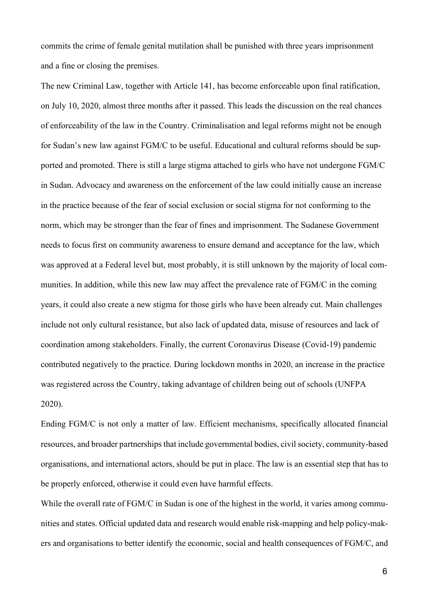commits the crime of female genital mutilation shall be punished with three years imprisonment and a fine or closing the premises.

The new Criminal Law, together with Article 141, has become enforceable upon final ratification, on July 10, 2020, almost three months after it passed. This leads the discussion on the real chances of enforceability of the law in the Country. Criminalisation and legal reforms might not be enough for Sudan's new law against FGM/C to be useful. Educational and cultural reforms should be supported and promoted. There is still a large stigma attached to girls who have not undergone FGM/C in Sudan. Advocacy and awareness on the enforcement of the law could initially cause an increase in the practice because of the fear of social exclusion or social stigma for not conforming to the norm, which may be stronger than the fear of fines and imprisonment. The Sudanese Government needs to focus first on community awareness to ensure demand and acceptance for the law, which was approved at a Federal level but, most probably, it is still unknown by the majority of local communities. In addition, while this new law may affect the prevalence rate of FGM/C in the coming years, it could also create a new stigma for those girls who have been already cut. Main challenges include not only cultural resistance, but also lack of updated data, misuse of resources and lack of coordination among stakeholders. Finally, the current Coronavirus Disease (Covid-19) pandemic contributed negatively to the practice. During lockdown months in 2020, an increase in the practice was registered across the Country, taking advantage of children being out of schools (UNFPA 2020).

Ending FGM/C is not only a matter of law. Efficient mechanisms, specifically allocated financial resources, and broader partnerships that include governmental bodies, civil society, community-based organisations, and international actors, should be put in place. The law is an essential step that has to be properly enforced, otherwise it could even have harmful effects.

While the overall rate of FGM/C in Sudan is one of the highest in the world, it varies among communities and states. Official updated data and research would enable risk-mapping and help policy-makers and organisations to better identify the economic, social and health consequences of FGM/C, and

6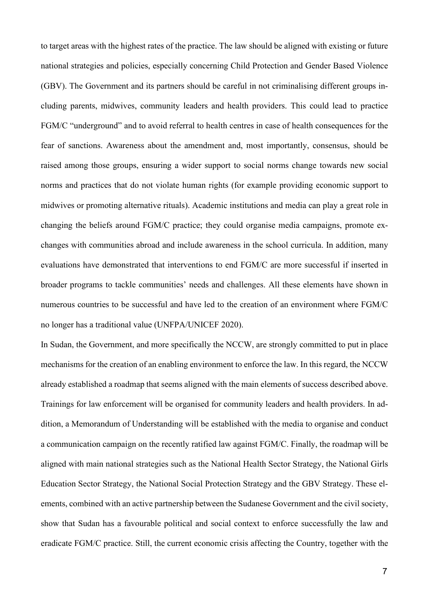to target areas with the highest rates of the practice. The law should be aligned with existing or future national strategies and policies, especially concerning Child Protection and Gender Based Violence (GBV). The Government and its partners should be careful in not criminalising different groups including parents, midwives, community leaders and health providers. This could lead to practice FGM/C "underground" and to avoid referral to health centres in case of health consequences for the fear of sanctions. Awareness about the amendment and, most importantly, consensus, should be raised among those groups, ensuring a wider support to social norms change towards new social norms and practices that do not violate human rights (for example providing economic support to midwives or promoting alternative rituals). Academic institutions and media can play a great role in changing the beliefs around FGM/C practice; they could organise media campaigns, promote exchanges with communities abroad and include awareness in the school curricula. In addition, many evaluations have demonstrated that interventions to end FGM/C are more successful if inserted in broader programs to tackle communities' needs and challenges. All these elements have shown in numerous countries to be successful and have led to the creation of an environment where FGM/C no longer has a traditional value (UNFPA/UNICEF 2020).

In Sudan, the Government, and more specifically the NCCW, are strongly committed to put in place mechanisms for the creation of an enabling environment to enforce the law. In this regard, the NCCW already established a roadmap that seems aligned with the main elements of success described above. Trainings for law enforcement will be organised for community leaders and health providers. In addition, a Memorandum of Understanding will be established with the media to organise and conduct a communication campaign on the recently ratified law against FGM/C. Finally, the roadmap will be aligned with main national strategies such as the National Health Sector Strategy, the National Girls Education Sector Strategy, the National Social Protection Strategy and the GBV Strategy. These elements, combined with an active partnership between the Sudanese Government and the civil society, show that Sudan has a favourable political and social context to enforce successfully the law and eradicate FGM/C practice. Still, the current economic crisis affecting the Country, together with the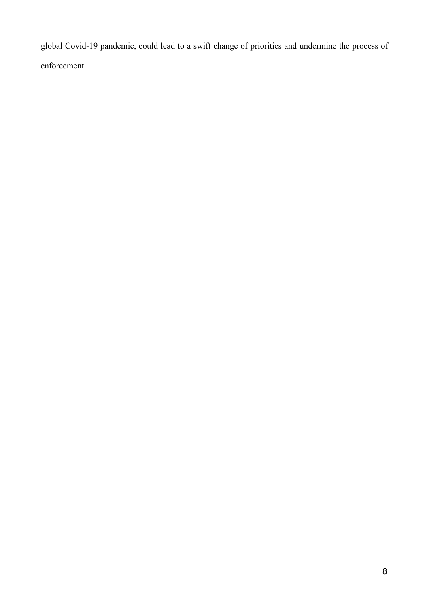global Covid-19 pandemic, could lead to a swift change of priorities and undermine the process of enforcement.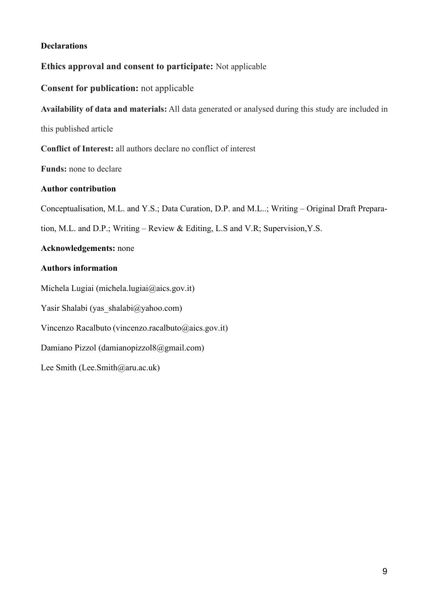# **Declarations**

# **Ethics approval and consent to participate:** Not applicable

# **Consent for publication:** not applicable

**Availability of data and materials:** All data generated or analysed during this study are included in

this published article

**Conflict of Interest:** all authors declare no conflict of interest

**Funds:** none to declare

# **Author contribution**

Conceptualisation, M.L. and Y.S.; Data Curation, D.P. and M.L..; Writing – Original Draft Prepara-

tion, M.L. and D.P.; Writing – Review & Editing, L.S and V.R; Supervision,Y.S.

## **Acknowledgements:** none

# **Authors information**

Michela Lugiai (michela.lugiai@aics.gov.it)

Yasir Shalabi (yas\_shalabi@yahoo.com)

Vincenzo Racalbuto (vincenzo.racalbuto@aics.gov.it)

Damiano Pizzol (damianopizzol8@gmail.com)

Lee Smith (Lee.Smith@aru.ac.uk)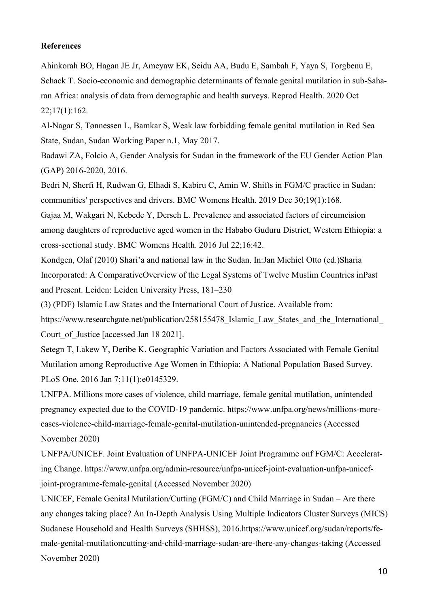## **References**

Ahinkorah BO, Hagan JE Jr, Ameyaw EK, Seidu AA, Budu E, Sambah F, Yaya S, Torgbenu E, Schack T. Socio-economic and demographic determinants of female genital mutilation in sub-Saharan Africa: analysis of data from demographic and health surveys. Reprod Health. 2020 Oct  $22;17(1):162.$ 

Al-Nagar S, Tønnessen L, Bamkar S, Weak law forbidding female genital mutilation in Red Sea State, Sudan, Sudan Working Paper n.1, May 2017.

Badawi ZA, Folcio A, Gender Analysis for Sudan in the framework of the EU Gender Action Plan (GAP) 2016-2020, 2016.

Bedri N, Sherfi H, Rudwan G, Elhadi S, Kabiru C, Amin W. Shifts in FGM/C practice in Sudan: communities' perspectives and drivers. BMC Womens Health. 2019 Dec 30;19(1):168. Gajaa M, Wakgari N, Kebede Y, Derseh L. Prevalence and associated factors of circumcision among daughters of reproductive aged women in the Hababo Guduru District, Western Ethiopia: a cross-sectional study. BMC Womens Health. 2016 Jul 22;16:42.

Kondgen, Olaf (2010) Shari'a and national law in the Sudan. In:Jan Michiel Otto (ed.)Sharia Incorporated: A ComparativeOverview of the Legal Systems of Twelve Muslim Countries inPast and Present. Leiden: Leiden University Press, 181–230

(3) (PDF) Islamic Law States and the International Court of Justice. Available from:

https://www.researchgate.net/publication/258155478 Islamic Law States and the International Court of Justice [accessed Jan 18 2021].

Setegn T, Lakew Y, Deribe K. Geographic Variation and Factors Associated with Female Genital Mutilation among Reproductive Age Women in Ethiopia: A National Population Based Survey. PLoS One. 2016 Jan 7;11(1):e0145329.

UNFPA. Millions more cases of violence, child marriage, female genital mutilation, unintended pregnancy expected due to the COVID-19 pandemic. https://www.unfpa.org/news/millions-morecases-violence-child-marriage-female-genital-mutilation-unintended-pregnancies (Accessed November 2020)

UNFPA/UNICEF. Joint Evaluation of UNFPA-UNICEF Joint Programme onf FGM/C: Accelerating Change. https://www.unfpa.org/admin-resource/unfpa-unicef-joint-evaluation-unfpa-unicefjoint-programme-female-genital (Accessed November 2020)

UNICEF, Female Genital Mutilation/Cutting (FGM/C) and Child Marriage in Sudan – Are there any changes taking place? An In-Depth Analysis Using Multiple Indicators Cluster Surveys (MICS) Sudanese Household and Health Surveys (SHHSS), 2016.https://www.unicef.org/sudan/reports/female-genital-mutilationcutting-and-child-marriage-sudan-are-there-any-changes-taking (Accessed November 2020)